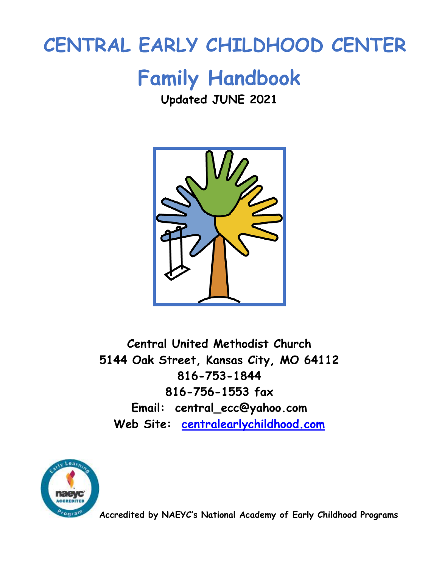# **CENTRAL EARLY CHILDHOOD CENTER**

# **Family Handbook**

# **Updated JUNE 2021**



**Central United Methodist Church 5144 Oak Street, Kansas City, MO 64112 816-753-1844 816-756-1553 fax Email: central\_ecc@yahoo.com Web Site: [centralearlychildhood.com](http://www.centralcares.com/)**



**Accredited by NAEYC's National Academy of Early Childhood Programs**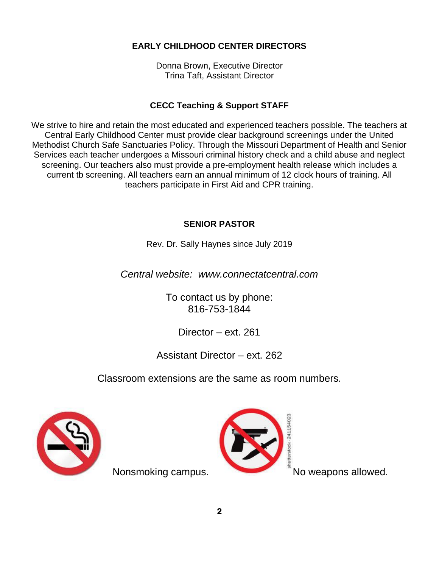# **EARLY CHILDHOOD CENTER DIRECTORS**

Donna Brown, Executive Director Trina Taft, Assistant Director

# **CECC Teaching & Support STAFF**

We strive to hire and retain the most educated and experienced teachers possible. The teachers at Central Early Childhood Center must provide clear background screenings under the United Methodist Church Safe Sanctuaries Policy. Through the Missouri Department of Health and Senior Services each teacher undergoes a Missouri criminal history check and a child abuse and neglect screening. Our teachers also must provide a pre-employment health release which includes a current tb screening. All teachers earn an annual minimum of 12 clock hours of training. All teachers participate in First Aid and CPR training.

# **SENIOR PASTOR**

Rev. Dr. Sally Haynes since July 2019

*Central website: www.connectatcentral.com*

To contact us by phone: 816-753-1844

# Director – ext. 261

Assistant Director – ext. 262

Classroom extensions are the same as room numbers.





Nonsmoking campus. No weapons allowed.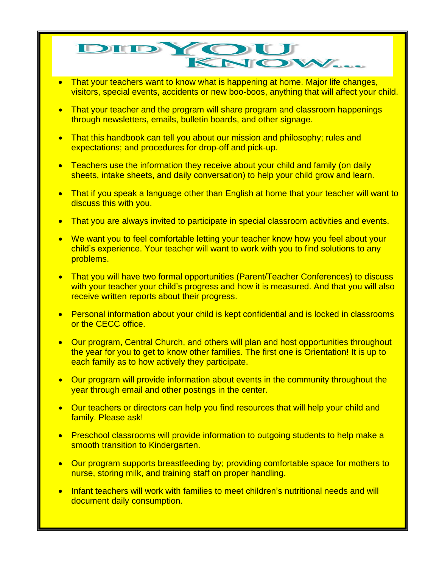# DIDYOU KNOV

- That your teachers want to know what is happening at home. Major life changes, visitors, special events, accidents or new boo-boos, anything that will affect your child.
- That your teacher and the program will share program and classroom happenings through newsletters, emails, bulletin boards, and other signage.
- That this handbook can tell you about our mission and philosophy; rules and expectations; and procedures for drop-off and pick-up.
- Teachers use the information they receive about your child and family (on daily sheets, intake sheets, and daily conversation) to help your child grow and learn.
- That if you speak a language other than English at home that your teacher will want to discuss this with you.
- That you are always invited to participate in special classroom activities and events.
- We want you to feel comfortable letting your teacher know how you feel about your child's experience. Your teacher will want to work with you to find solutions to any problems.
- That you will have two formal opportunities (Parent/Teacher Conferences) to discuss with your teacher your child's progress and how it is measured. And that you will also receive written reports about their progress.
- Personal information about your child is kept confidential and is locked in classrooms or the CECC office.
- Our program, Central Church, and others will plan and host opportunities throughout the year for you to get to know other families. The first one is Orientation! It is up to each family as to how actively they participate.
- Our program will provide information about events in the community throughout the year through email and other postings in the center.
- Our teachers or directors can help you find resources that will help your child and family. Please ask!
- Preschool classrooms will provide information to outgoing students to help make a smooth transition to Kindergarten.
- Our program supports breastfeeding by; providing comfortable space for mothers to nurse, storing milk, and training staff on proper handling.
- Infant teachers will work with families to meet children's nutritional needs and will document daily consumption.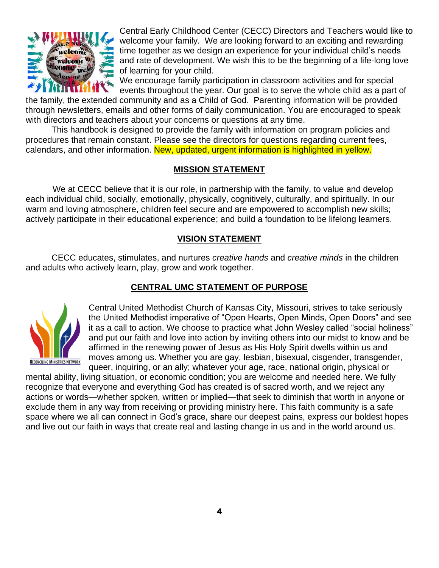

Central Early Childhood Center (CECC) Directors and Teachers would like to welcome your family. We are looking forward to an exciting and rewarding time together as we design an experience for your individual child's needs and rate of development. We wish this to be the beginning of a life-long love of learning for your child.

We encourage family participation in classroom activities and for special events throughout the year. Our goal is to serve the whole child as a part of

the family, the extended community and as a Child of God. Parenting information will be provided through newsletters, emails and other forms of daily communication. You are encouraged to speak with directors and teachers about your concerns or questions at any time.

This handbook is designed to provide the family with information on program policies and procedures that remain constant. Please see the directors for questions regarding current fees, calendars, and other information. New, updated, urgent information is highlighted in yellow.

#### **MISSION STATEMENT**

We at CECC believe that it is our role, in partnership with the family, to value and develop each individual child, socially, emotionally, physically, cognitively, culturally, and spiritually. In our warm and loving atmosphere, children feel secure and are empowered to accomplish new skills; actively participate in their educational experience; and build a foundation to be lifelong learners.

# **VISION STATEMENT**

CECC educates, stimulates, and nurtures *creative hands* and *creative minds* in the children and adults who actively learn, play, grow and work together.

# **CENTRAL UMC STATEMENT OF PURPOSE**



Central United Methodist Church of Kansas City, Missouri, strives to take seriously the United Methodist imperative of "Open Hearts, Open Minds, Open Doors" and see it as a call to action. We choose to practice what John Wesley called "social holiness" and put our faith and love into action by inviting others into our midst to know and be affirmed in the renewing power of Jesus as His Holy Spirit dwells within us and moves among us. Whether you are gay, lesbian, bisexual, cisgender, transgender, queer, inquiring, or an ally; whatever your age, race, national origin, physical or

mental ability, living situation, or economic condition; you are welcome and needed here. We fully recognize that everyone and everything God has created is of sacred worth, and we reject any actions or words—whether spoken, written or implied—that seek to diminish that worth in anyone or exclude them in any way from receiving or providing ministry here. This faith community is a safe space where we all can connect in God's grace, share our deepest pains, express our boldest hopes and live out our faith in ways that create real and lasting change in us and in the world around us.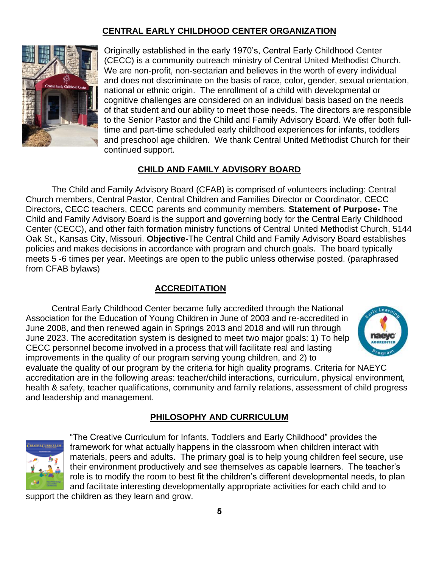# **CENTRAL EARLY CHILDHOOD CENTER ORGANIZATION**



Originally established in the early 1970's, Central Early Childhood Center (CECC) is a community outreach ministry of Central United Methodist Church. We are non-profit, non-sectarian and believes in the worth of every individual and does not discriminate on the basis of race, color, gender, sexual orientation, national or ethnic origin. The enrollment of a child with developmental or cognitive challenges are considered on an individual basis based on the needs of that student and our ability to meet those needs. The directors are responsible to the Senior Pastor and the Child and Family Advisory Board. We offer both fulltime and part-time scheduled early childhood experiences for infants, toddlers and preschool age children. We thank Central United Methodist Church for their continued support.

# **CHILD AND FAMILY ADVISORY BOARD**

The Child and Family Advisory Board (CFAB) is comprised of volunteers including: Central Church members, Central Pastor, Central Children and Families Director or Coordinator, CECC Directors, CECC teachers, CECC parents and community members. **Statement of Purpose-** The Child and Family Advisory Board is the support and governing body for the Central Early Childhood Center (CECC), and other faith formation ministry functions of Central United Methodist Church, 5144 Oak St., Kansas City, Missouri. **Objective-**The Central Child and Family Advisory Board establishes policies and makes decisions in accordance with program and church goals. The board typically meets 5 -6 times per year. Meetings are open to the public unless otherwise posted. (paraphrased from CFAB bylaws)

# **ACCREDITATION**

Central Early Childhood Center became fully accredited through the National Association for the Education of Young Children in June of 2003 and re-accredited in June 2008, and then renewed again in Springs 2013 and 2018 and will run through June 2023. The accreditation system is designed to meet two major goals: 1) To help CECC personnel become involved in a process that will facilitate real and lasting improvements in the quality of our program serving young children, and 2) to



evaluate the quality of our program by the criteria for high quality programs. Criteria for NAEYC accreditation are in the following areas: teacher/child interactions, curriculum, physical environment, health & safety, teacher qualifications, community and family relations, assessment of child progress and leadership and management.

# **PHILOSOPHY AND CURRICULUM**



"The Creative Curriculum for Infants, Toddlers and Early Childhood" provides the framework for what actually happens in the classroom when children interact with materials, peers and adults. The primary goal is to help young children feel secure, use their environment productively and see themselves as capable learners. The teacher's role is to modify the room to best fit the children's different developmental needs, to plan and facilitate interesting developmentally appropriate activities for each child and to

support the children as they learn and grow.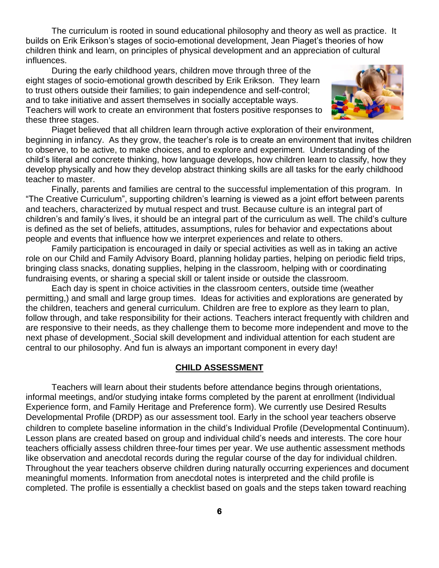The curriculum is rooted in sound educational philosophy and theory as well as practice. It builds on Erik Erikson's stages of socio-emotional development, Jean Piaget's theories of how children think and learn, on principles of physical development and an appreciation of cultural influences.

During the early childhood years, children move through three of the eight stages of socio-emotional growth described by Erik Erikson. They learn to trust others outside their families; to gain independence and self-control; and to take initiative and assert themselves in socially acceptable ways. Teachers will work to create an environment that fosters positive responses to these three stages.



Piaget believed that all children learn through active exploration of their environment, beginning in infancy. As they grow, the teacher's role is to create an environment that invites children to observe, to be active, to make choices, and to explore and experiment. Understanding of the child's literal and concrete thinking, how language develops, how children learn to classify, how they develop physically and how they develop abstract thinking skills are all tasks for the early childhood teacher to master.

Finally, parents and families are central to the successful implementation of this program. In "The Creative Curriculum", supporting children's learning is viewed as a joint effort between parents and teachers, characterized by mutual respect and trust. Because culture is an integral part of children's and family's lives, it should be an integral part of the curriculum as well. The child's culture is defined as the set of beliefs, attitudes, assumptions, rules for behavior and expectations about people and events that influence how we interpret experiences and relate to others.

Family participation is encouraged in daily or special activities as well as in taking an active role on our Child and Family Advisory Board, planning holiday parties, helping on periodic field trips, bringing class snacks, donating supplies, helping in the classroom, helping with or coordinating fundraising events, or sharing a special skill or talent inside or outside the classroom.

Each day is spent in choice activities in the classroom centers, outside time (weather permitting,) and small and large group times. Ideas for activities and explorations are generated by the children, teachers and general curriculum. Children are free to explore as they learn to plan, follow through, and take responsibility for their actions. Teachers interact frequently with children and are responsive to their needs, as they challenge them to become more independent and move to the next phase of development. Social skill development and individual attention for each student are central to our philosophy. And fun is always an important component in every day!

#### **CHILD ASSESSMENT**

Teachers will learn about their students before attendance begins through orientations, informal meetings, and/or studying intake forms completed by the parent at enrollment (Individual Experience form, and Family Heritage and Preference form). We currently use Desired Results Developmental Profile (DRDP) as our assessment tool. Early in the school year teachers observe children to complete baseline information in the child's Individual Profile (Developmental Continuum). Lesson plans are created based on group and individual child's needs and interests. The core hour teachers officially assess children three-four times per year. We use authentic assessment methods like observation and anecdotal records during the regular course of the day for individual children. Throughout the year teachers observe children during naturally occurring experiences and document meaningful moments. Information from anecdotal notes is interpreted and the child profile is completed. The profile is essentially a checklist based on goals and the steps taken toward reaching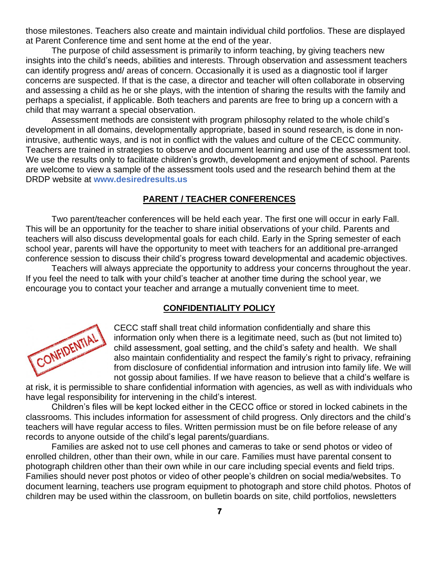those milestones. Teachers also create and maintain individual child portfolios. These are displayed at Parent Conference time and sent home at the end of the year.

The purpose of child assessment is primarily to inform teaching, by giving teachers new insights into the child's needs, abilities and interests. Through observation and assessment teachers can identify progress and/ areas of concern. Occasionally it is used as a diagnostic tool if larger concerns are suspected. If that is the case, a director and teacher will often collaborate in observing and assessing a child as he or she plays, with the intention of sharing the results with the family and perhaps a specialist, if applicable. Both teachers and parents are free to bring up a concern with a child that may warrant a special observation.

Assessment methods are consistent with program philosophy related to the whole child's development in all domains, developmentally appropriate, based in sound research, is done in nonintrusive, authentic ways, and is not in conflict with the values and culture of the CECC community. Teachers are trained in strategies to observe and document learning and use of the assessment tool. We use the results only to facilitate children's growth, development and enjoyment of school. Parents are welcome to view a sample of the assessment tools used and the research behind them at the DRDP website at **www.desiredresults.us**

#### **PARENT / TEACHER CONFERENCES**

Two parent/teacher conferences will be held each year. The first one will occur in early Fall. This will be an opportunity for the teacher to share initial observations of your child. Parents and teachers will also discuss developmental goals for each child. Early in the Spring semester of each school year, parents will have the opportunity to meet with teachers for an additional pre-arranged conference session to discuss their child's progress toward developmental and academic objectives.

Teachers will always appreciate the opportunity to address your concerns throughout the year. If you feel the need to talk with your child's teacher at another time during the school year, we encourage you to contact your teacher and arrange a mutually convenient time to meet.

#### **CONFIDENTIALITY POLICY**



CECC staff shall treat child information confidentially and share this information only when there is a legitimate need, such as (but not limited to) child assessment, goal setting, and the child's safety and health. We shall also maintain confidentiality and respect the family's right to privacy, refraining from disclosure of confidential information and intrusion into family life. We will not gossip about families. If we have reason to believe that a child's welfare is

at risk, it is permissible to share confidential information with agencies, as well as with individuals who have legal responsibility for intervening in the child's interest.

Children's files will be kept locked either in the CECC office or stored in locked cabinets in the classrooms. This includes information for assessment of child progress. Only directors and the child's teachers will have regular access to files. Written permission must be on file before release of any records to anyone outside of the child's legal parents/guardians.

Families are asked not to use cell phones and cameras to take or send photos or video of enrolled children, other than their own, while in our care. Families must have parental consent to photograph children other than their own while in our care including special events and field trips. Families should never post photos or video of other people's children on social media/websites. To document learning, teachers use program equipment to photograph and store child photos. Photos of children may be used within the classroom, on bulletin boards on site, child portfolios, newsletters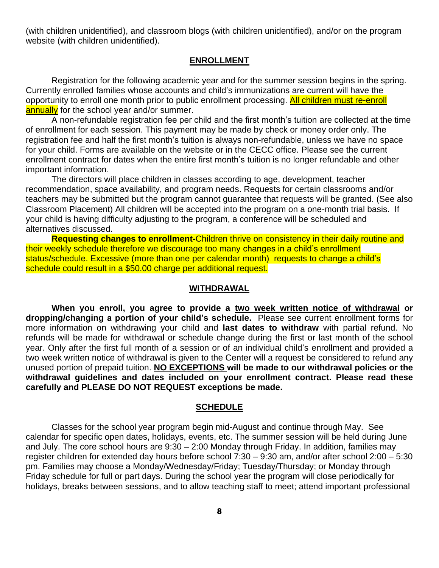(with children unidentified), and classroom blogs (with children unidentified), and/or on the program website (with children unidentified).

#### **ENROLLMENT**

Registration for the following academic year and for the summer session begins in the spring. Currently enrolled families whose accounts and child's immunizations are current will have the opportunity to enroll one month prior to public enrollment processing. All children must re-enroll annually for the school year and/or summer.

A non-refundable registration fee per child and the first month's tuition are collected at the time of enrollment for each session. This payment may be made by check or money order only. The registration fee and half the first month's tuition is always non-refundable, unless we have no space for your child. Forms are available on the website or in the CECC office. Please see the current enrollment contract for dates when the entire first month's tuition is no longer refundable and other important information.

The directors will place children in classes according to age, development, teacher recommendation, space availability, and program needs. Requests for certain classrooms and/or teachers may be submitted but the program cannot guarantee that requests will be granted. (See also Classroom Placement) All children will be accepted into the program on a one-month trial basis. If your child is having difficulty adjusting to the program, a conference will be scheduled and alternatives discussed.

**Requesting changes to enrollment-**Children thrive on consistency in their daily routine and their weekly schedule therefore we discourage too many changes in a child's enrollment status/schedule. Excessive (more than one per calendar month) requests to change a child's schedule could result in a \$50.00 charge per additional request.

#### **WITHDRAWAL**

**When you enroll, you agree to provide a two week written notice of withdrawal or dropping/changing a portion of your child's schedule.** Please see current enrollment forms for more information on withdrawing your child and **last dates to withdraw** with partial refund. No refunds will be made for withdrawal or schedule change during the first or last month of the school year. Only after the first full month of a session or of an individual child's enrollment and provided a two week written notice of withdrawal is given to the Center will a request be considered to refund any unused portion of prepaid tuition. **NO EXCEPTIONS will be made to our withdrawal policies or the withdrawal guidelines and dates included on your enrollment contract. Please read these carefully and PLEASE DO NOT REQUEST exceptions be made.** 

#### **SCHEDULE**

Classes for the school year program begin mid-August and continue through May. See calendar for specific open dates, holidays, events, etc. The summer session will be held during June and July. The core school hours are 9:30 – 2:00 Monday through Friday. In addition, families may register children for extended day hours before school 7:30 – 9:30 am, and/or after school 2:00 – 5:30 pm. Families may choose a Monday/Wednesday/Friday; Tuesday/Thursday; or Monday through Friday schedule for full or part days. During the school year the program will close periodically for holidays, breaks between sessions, and to allow teaching staff to meet; attend important professional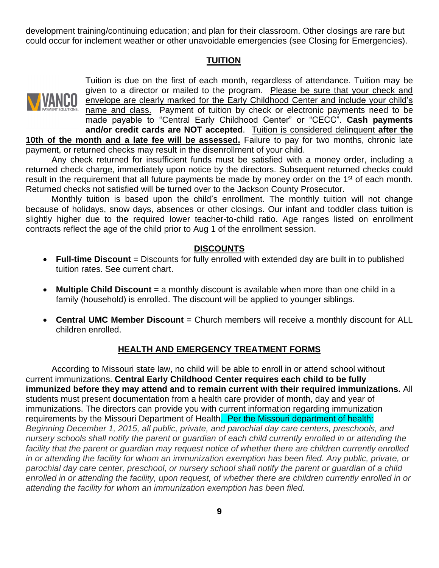development training/continuing education; and plan for their classroom. Other closings are rare but could occur for inclement weather or other unavoidable emergencies (see Closing for Emergencies).

#### **TUITION**



Tuition is due on the first of each month, regardless of attendance. Tuition may be given to a director or mailed to the program. Please be sure that your check and envelope are clearly marked for the Early Childhood Center and include your child's name and class. Payment of tuition by check or electronic payments need to be made payable to "Central Early Childhood Center" or "CECC". **Cash payments and/or credit cards are NOT accepted**. Tuition is considered delinquent **after the 10th of the month and a late fee will be assessed.** Failure to pay for two months, chronic late payment, or returned checks may result in the disenrollment of your child.

Any check returned for insufficient funds must be satisfied with a money order, including a returned check charge, immediately upon notice by the directors. Subsequent returned checks could result in the requirement that all future payments be made by money order on the 1<sup>st</sup> of each month. Returned checks not satisfied will be turned over to the Jackson County Prosecutor.

Monthly tuition is based upon the child's enrollment. The monthly tuition will not change because of holidays, snow days, absences or other closings. Our infant and toddler class tuition is slightly higher due to the required lower teacher-to-child ratio. Age ranges listed on enrollment contracts reflect the age of the child prior to Aug 1 of the enrollment session.

#### **DISCOUNTS**

- **Full-time Discount** = Discounts for fully enrolled with extended day are built in to published tuition rates. See current chart.
- **Multiple Child Discount** = a monthly discount is available when more than one child in a family (household) is enrolled. The discount will be applied to younger siblings.
- **Central UMC Member Discount** = Church members will receive a monthly discount for ALL children enrolled.

# **HEALTH AND EMERGENCY TREATMENT FORMS**

According to Missouri state law, no child will be able to enroll in or attend school without current immunizations. **Central Early Childhood Center requires each child to be fully immunized before they may attend and to remain current with their required immunizations.** All students must present documentation from a health care provider of month, day and year of immunizations. The directors can provide you with current information regarding immunization requirements by the Missouri Department of Health. Per the Missouri department of health: *Beginning December 1, 2015, all public, private, and parochial day care centers, preschools, and nursery schools shall notify the parent or guardian of each child currently enrolled in or attending the facility that the parent or guardian may request notice of whether there are children currently enrolled in or attending the facility for whom an immunization exemption has been filed. Any public, private, or parochial day care center, preschool, or nursery school shall notify the parent or guardian of a child enrolled in or attending the facility, upon request, of whether there are children currently enrolled in or attending the facility for whom an immunization exemption has been filed.*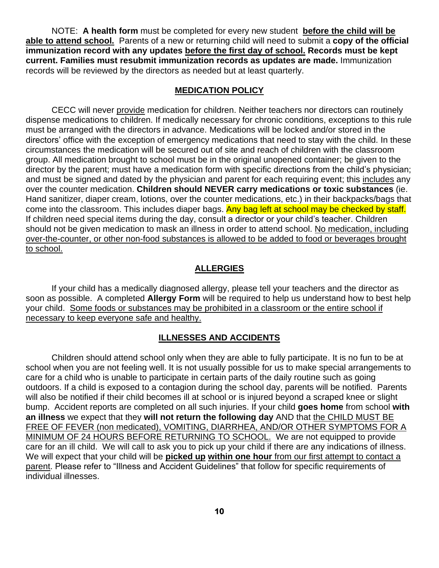NOTE: **A health form** must be completed for every new student **before the child will be able to attend school.** Parents of a new or returning child will need to submit a **copy of the official immunization record with any updates before the first day of school. Records must be kept current. Families must resubmit immunization records as updates are made.** Immunization records will be reviewed by the directors as needed but at least quarterly.

#### **MEDICATION POLICY**

CECC will never provide medication for children. Neither teachers nor directors can routinely dispense medications to children. If medically necessary for chronic conditions, exceptions to this rule must be arranged with the directors in advance. Medications will be locked and/or stored in the directors' office with the exception of emergency medications that need to stay with the child. In these circumstances the medication will be secured out of site and reach of children with the classroom group. All medication brought to school must be in the original unopened container; be given to the director by the parent; must have a medication form with specific directions from the child's physician; and must be signed and dated by the physician and parent for each requiring event; this includes any over the counter medication. **Children should NEVER carry medications or toxic substances** (ie. Hand sanitizer, diaper cream, lotions, over the counter medications, etc.) in their backpacks/bags that come into the classroom. This includes diaper bags. Any bag left at school may be checked by staff. If children need special items during the day, consult a director or your child's teacher. Children should not be given medication to mask an illness in order to attend school. No medication, including over-the-counter, or other non-food substances is allowed to be added to food or beverages brought to school.

#### **ALLERGIES**

If your child has a medically diagnosed allergy, please tell your teachers and the director as soon as possible. A completed **Allergy Form** will be required to help us understand how to best help your child. Some foods or substances may be prohibited in a classroom or the entire school if necessary to keep everyone safe and healthy.

#### **ILLNESSES AND ACCIDENTS**

Children should attend school only when they are able to fully participate. It is no fun to be at school when you are not feeling well. It is not usually possible for us to make special arrangements to care for a child who is unable to participate in certain parts of the daily routine such as going outdoors. If a child is exposed to a contagion during the school day, parents will be notified. Parents will also be notified if their child becomes ill at school or is injured beyond a scraped knee or slight bump. Accident reports are completed on all such injuries. If your child **goes home** from school **with an illness** we expect that they **will not return the following day** AND that the CHILD MUST BE FREE OF FEVER (non medicated), VOMITING, DIARRHEA, AND/OR OTHER SYMPTOMS FOR A MINIMUM OF 24 HOURS BEFORE RETURNING TO SCHOOL. We are not equipped to provide care for an ill child. We will call to ask you to pick up your child if there are any indications of illness. We will expect that your child will be **picked up within one hour** from our first attempt to contact a parent. Please refer to "Illness and Accident Guidelines" that follow for specific requirements of individual illnesses.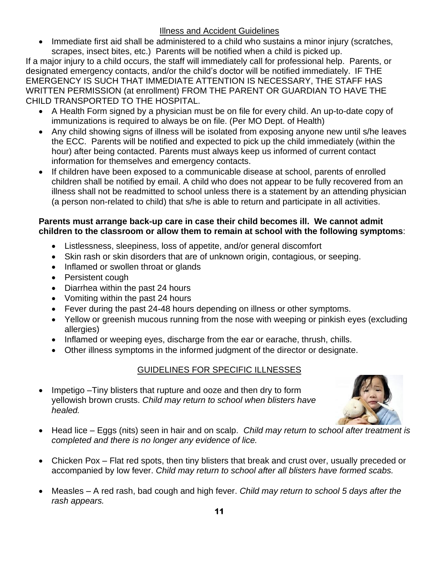# Illness and Accident Guidelines

• Immediate first aid shall be administered to a child who sustains a minor injury (scratches, scrapes, insect bites, etc.) Parents will be notified when a child is picked up.

If a major injury to a child occurs, the staff will immediately call for professional help. Parents, or designated emergency contacts, and/or the child's doctor will be notified immediately. IF THE EMERGENCY IS SUCH THAT IMMEDIATE ATTENTION IS NECESSARY, THE STAFF HAS WRITTEN PERMISSION (at enrollment) FROM THE PARENT OR GUARDIAN TO HAVE THE CHILD TRANSPORTED TO THE HOSPITAL.

- A Health Form signed by a physician must be on file for every child. An up-to-date copy of immunizations is required to always be on file. (Per MO Dept. of Health)
- Any child showing signs of illness will be isolated from exposing anyone new until s/he leaves the ECC. Parents will be notified and expected to pick up the child immediately (within the hour) after being contacted. Parents must always keep us informed of current contact information for themselves and emergency contacts.
- If children have been exposed to a communicable disease at school, parents of enrolled children shall be notified by email. A child who does not appear to be fully recovered from an illness shall not be readmitted to school unless there is a statement by an attending physician (a person non-related to child) that s/he is able to return and participate in all activities.

# **Parents must arrange back-up care in case their child becomes ill. We cannot admit children to the classroom or allow them to remain at school with the following symptoms**:

- Listlessness, sleepiness, loss of appetite, and/or general discomfort
- Skin rash or skin disorders that are of unknown origin, contagious, or seeping.
- Inflamed or swollen throat or glands
- Persistent cough
- Diarrhea within the past 24 hours
- Vomiting within the past 24 hours
- Fever during the past 24-48 hours depending on illness or other symptoms.
- Yellow or greenish mucous running from the nose with weeping or pinkish eyes (excluding allergies)
- Inflamed or weeping eyes, discharge from the ear or earache, thrush, chills.
- Other illness symptoms in the informed judgment of the director or designate.

# GUIDELINES FOR SPECIFIC ILLNESSES

• Impetigo – Tiny blisters that rupture and ooze and then dry to form yellowish brown crusts. *Child may return to school when blisters have healed.*



- Head lice Eggs (nits) seen in hair and on scalp. *Child may return to school after treatment is completed and there is no longer any evidence of lice.*
- Chicken Pox Flat red spots, then tiny blisters that break and crust over, usually preceded or accompanied by low fever. *Child may return to school after all blisters have formed scabs.*
- Measles A red rash, bad cough and high fever. *Child may return to school 5 days after the rash appears.*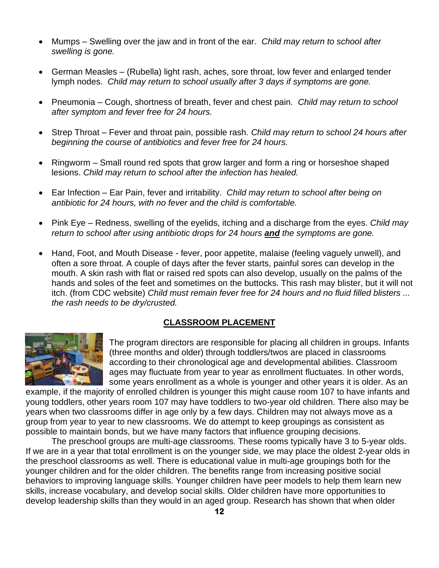- Mumps Swelling over the jaw and in front of the ear. *Child may return to school after swelling is gone.*
- German Measles (Rubella) light rash, aches, sore throat, low fever and enlarged tender lymph nodes. *Child may return to school usually after 3 days if symptoms are gone.*
- Pneumonia Cough, shortness of breath, fever and chest pain. *Child may return to school after symptom and fever free for 24 hours.*
- Strep Throat Fever and throat pain, possible rash. *Child may return to school 24 hours after beginning the course of antibiotics and fever free for 24 hours.*
- Ringworm Small round red spots that grow larger and form a ring or horseshoe shaped lesions. *Child may return to school after the infection has healed.*
- Ear Infection Ear Pain, fever and irritability. *Child may return to school after being on antibiotic for 24 hours, with no fever and the child is comfortable.*
- Pink Eye Redness, swelling of the eyelids, itching and a discharge from the eyes. *Child may return to school after using antibiotic drops for 24 hours and the symptoms are gone.*
- Hand, Foot, and Mouth Disease fever, poor appetite, malaise (feeling vaguely unwell), and often a sore throat. A couple of days after the fever starts, painful sores can develop in the mouth. A skin rash with flat or raised red spots can also develop, usually on the palms of the hands and soles of the feet and sometimes on the buttocks. This rash may blister, but it will not itch. (from CDC website) *Child must remain fever free for 24 hours and no fluid filled blisters ... the rash needs to be dry/crusted.*

# **CLASSROOM PLACEMENT**



The program directors are responsible for placing all children in groups. Infants (three months and older) through toddlers/twos are placed in classrooms according to their chronological age and developmental abilities. Classroom ages may fluctuate from year to year as enrollment fluctuates. In other words, some years enrollment as a whole is younger and other years it is older. As an

example, if the majority of enrolled children is younger this might cause room 107 to have infants and young toddlers, other years room 107 may have toddlers to two-year old children. There also may be years when two classrooms differ in age only by a few days. Children may not always move as a group from year to year to new classrooms. We do attempt to keep groupings as consistent as possible to maintain bonds, but we have many factors that influence grouping decisions.

The preschool groups are multi-age classrooms. These rooms typically have 3 to 5-year olds. If we are in a year that total enrollment is on the younger side, we may place the oldest 2-year olds in the preschool classrooms as well. There is educational value in multi-age groupings both for the younger children and for the older children. The benefits range from increasing positive social behaviors to improving language skills. Younger children have peer models to help them learn new skills, increase vocabulary, and develop social skills. Older children have more opportunities to develop leadership skills than they would in an aged group. Research has shown that when older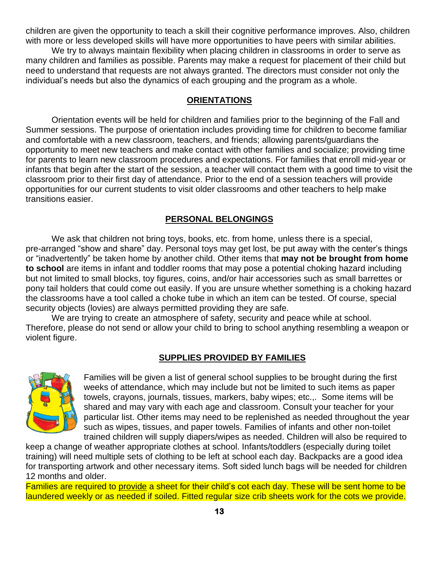children are given the opportunity to teach a skill their cognitive performance improves. Also, children with more or less developed skills will have more opportunities to have peers with similar abilities.

We try to always maintain flexibility when placing children in classrooms in order to serve as many children and families as possible. Parents may make a request for placement of their child but need to understand that requests are not always granted. The directors must consider not only the individual's needs but also the dynamics of each grouping and the program as a whole.

#### **ORIENTATIONS**

Orientation events will be held for children and families prior to the beginning of the Fall and Summer sessions. The purpose of orientation includes providing time for children to become familiar and comfortable with a new classroom, teachers, and friends; allowing parents/guardians the opportunity to meet new teachers and make contact with other families and socialize; providing time for parents to learn new classroom procedures and expectations. For families that enroll mid-year or infants that begin after the start of the session, a teacher will contact them with a good time to visit the classroom prior to their first day of attendance. Prior to the end of a session teachers will provide opportunities for our current students to visit older classrooms and other teachers to help make transitions easier.

#### **PERSONAL BELONGINGS**

We ask that children not bring toys, books, etc. from home, unless there is a special, pre-arranged "show and share" day. Personal toys may get lost, be put away with the center's things or "inadvertently" be taken home by another child. Other items that **may not be brought from home to school** are items in infant and toddler rooms that may pose a potential choking hazard including but not limited to small blocks, toy figures, coins, and/or hair accessories such as small barrettes or pony tail holders that could come out easily. If you are unsure whether something is a choking hazard the classrooms have a tool called a choke tube in which an item can be tested. Of course, special security objects (lovies) are always permitted providing they are safe.

We are trying to create an atmosphere of safety, security and peace while at school. Therefore, please do not send or allow your child to bring to school anything resembling a weapon or violent figure.

#### **SUPPLIES PROVIDED BY FAMILIES**



Families will be given a list of general school supplies to be brought during the first weeks of attendance, which may include but not be limited to such items as paper towels, crayons, journals, tissues, markers, baby wipes; etc.,. Some items will be shared and may vary with each age and classroom. Consult your teacher for your particular list. Other items may need to be replenished as needed throughout the year such as wipes, tissues, and paper towels. Families of infants and other non-toilet trained children will supply diapers/wipes as needed. Children will also be required to

keep a change of weather appropriate clothes at school. Infants/toddlers (especially during toilet training) will need multiple sets of clothing to be left at school each day. Backpacks are a good idea for transporting artwork and other necessary items. Soft sided lunch bags will be needed for children 12 months and older.

Families are required to provide a sheet for their child's cot each day. These will be sent home to be laundered weekly or as needed if soiled. Fitted regular size crib sheets work for the cots we provide.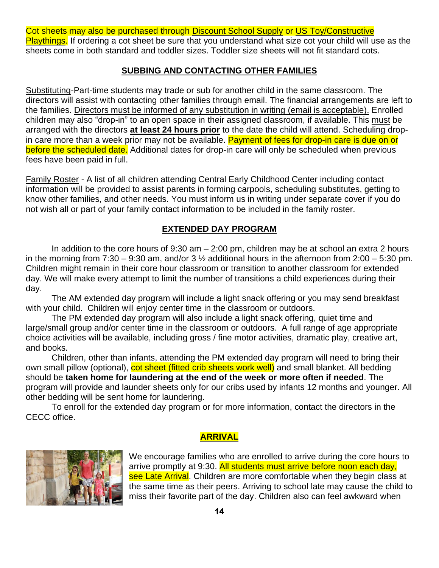Cot sheets may also be purchased through Discount School Supply or US Toy/Constructive Playthings. If ordering a cot sheet be sure that you understand what size cot your child will use as the sheets come in both standard and toddler sizes. Toddler size sheets will not fit standard cots.

#### **SUBBING AND CONTACTING OTHER FAMILIES**

Substituting-Part-time students may trade or sub for another child in the same classroom. The directors will assist with contacting other families through email. The financial arrangements are left to the families. Directors must be informed of any substitution in writing (email is acceptable). Enrolled children may also "drop-in" to an open space in their assigned classroom, if available. This must be arranged with the directors **at least 24 hours prior** to the date the child will attend. Scheduling dropin care more than a week prior may not be available. Payment of fees for drop-in care is due on or before the scheduled date. Additional dates for drop-in care will only be scheduled when previous fees have been paid in full.

Family Roster - A list of all children attending Central Early Childhood Center including contact information will be provided to assist parents in forming carpools, scheduling substitutes, getting to know other families, and other needs. You must inform us in writing under separate cover if you do not wish all or part of your family contact information to be included in the family roster.

#### **EXTENDED DAY PROGRAM**

In addition to the core hours of  $9:30$  am  $-2:00$  pm, children may be at school an extra 2 hours in the morning from 7:30 – 9:30 am, and/or 3  $\frac{1}{2}$  additional hours in the afternoon from 2:00 – 5:30 pm. Children might remain in their core hour classroom or transition to another classroom for extended day. We will make every attempt to limit the number of transitions a child experiences during their day.

The AM extended day program will include a light snack offering or you may send breakfast with your child. Children will enjoy center time in the classroom or outdoors.

The PM extended day program will also include a light snack offering, quiet time and large/small group and/or center time in the classroom or outdoors. A full range of age appropriate choice activities will be available, including gross / fine motor activities, dramatic play, creative art, and books.

Children, other than infants, attending the PM extended day program will need to bring their own small pillow (optional), cot sheet (fitted crib sheets work well) and small blanket. All bedding should be **taken home for laundering at the end of the week or more often if needed**. The program will provide and launder sheets only for our cribs used by infants 12 months and younger. All other bedding will be sent home for laundering.

To enroll for the extended day program or for more information, contact the directors in the CECC office.

#### **ARRIVAL**



We encourage families who are enrolled to arrive during the core hours to arrive promptly at 9:30. All students must arrive before noon each day, see Late Arrival. Children are more comfortable when they begin class at the same time as their peers. Arriving to school late may cause the child to miss their favorite part of the day. Children also can feel awkward when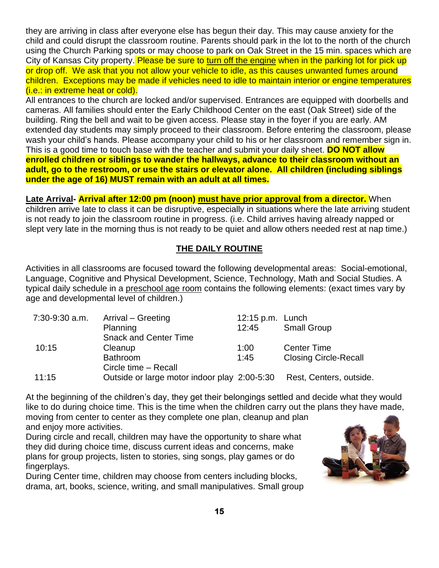they are arriving in class after everyone else has begun their day. This may cause anxiety for the child and could disrupt the classroom routine. Parents should park in the lot to the north of the church using the Church Parking spots or may choose to park on Oak Street in the 15 min. spaces which are City of Kansas City property. Please be sure to turn off the engine when in the parking lot for pick up or drop off. We ask that you not allow your vehicle to idle, as this causes unwanted fumes around children. Exceptions may be made if vehicles need to idle to maintain interior or engine temperatures (i.e.: in extreme heat or cold).

All entrances to the church are locked and/or supervised. Entrances are equipped with doorbells and cameras. All families should enter the Early Childhood Center on the east (Oak Street) side of the building. Ring the bell and wait to be given access. Please stay in the foyer if you are early. AM extended day students may simply proceed to their classroom. Before entering the classroom, please wash your child's hands. Please accompany your child to his or her classroom and remember sign in. This is a good time to touch base with the teacher and submit your daily sheet. **DO NOT allow enrolled children or siblings to wander the hallways, advance to their classroom without an adult, go to the restroom, or use the stairs or elevator alone. All children (including siblings under the age of 16) MUST remain with an adult at all times.**

**Late Arrival- Arrival after 12:00 pm (noon) must have prior approval from a director.** When children arrive late to class it can be disruptive, especially in situations where the late arriving student is not ready to join the classroom routine in progress. (i.e. Child arrives having already napped or slept very late in the morning thus is not ready to be quiet and allow others needed rest at nap time.)

#### **THE DAILY ROUTINE**

Activities in all classrooms are focused toward the following developmental areas: Social-emotional, Language, Cognitive and Physical Development, Science, Technology, Math and Social Studies. A typical daily schedule in a preschool age room contains the following elements: (exact times vary by age and developmental level of children.)

| 7:30-9:30 a.m. | Arrival – Greeting                           | 12:15 p.m. Lunch |                              |
|----------------|----------------------------------------------|------------------|------------------------------|
|                | Planning                                     | 12:45            | <b>Small Group</b>           |
|                | <b>Snack and Center Time</b>                 |                  |                              |
| 10:15          | Cleanup                                      | 1:00             | <b>Center Time</b>           |
|                | <b>Bathroom</b>                              | 1:45             | <b>Closing Circle-Recall</b> |
|                | Circle time - Recall                         |                  |                              |
| 11:15          | Outside or large motor indoor play 2:00-5:30 |                  | Rest, Centers, outside.      |

At the beginning of the children's day, they get their belongings settled and decide what they would like to do during choice time. This is the time when the children carry out the plans they have made, moving from center to center as they complete one plan, cleanup and plan and enjoy more activities.

During circle and recall, children may have the opportunity to share what they did during choice time, discuss current ideas and concerns, make plans for group projects, listen to stories, sing songs, play games or do fingerplays.

During Center time, children may choose from centers including blocks, drama, art, books, science, writing, and small manipulatives. Small group

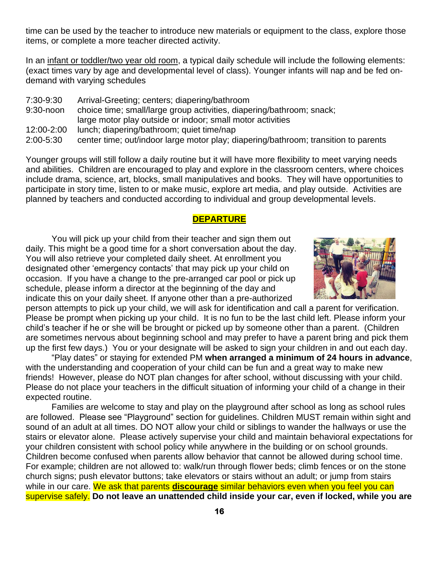time can be used by the teacher to introduce new materials or equipment to the class, explore those items, or complete a more teacher directed activity.

In an infant or toddler/two year old room, a typical daily schedule will include the following elements: (exact times vary by age and developmental level of class). Younger infants will nap and be fed ondemand with varying schedules

7:30-9:30 Arrival-Greeting; centers; diapering/bathroom 9:30-noon choice time; small/large group activities, diapering/bathroom; snack; large motor play outside or indoor; small motor activities 12:00-2:00 lunch; diapering/bathroom; quiet time/nap 2:00-5:30 center time; out/indoor large motor play; diapering/bathroom; transition to parents

Younger groups will still follow a daily routine but it will have more flexibility to meet varying needs and abilities. Children are encouraged to play and explore in the classroom centers, where choices include drama, science, art, blocks, small manipulatives and books. They will have opportunities to participate in story time, listen to or make music, explore art media, and play outside. Activities are planned by teachers and conducted according to individual and group developmental levels.

#### **DEPARTURE**

You will pick up your child from their teacher and sign them out daily. This might be a good time for a short conversation about the day. You will also retrieve your completed daily sheet. At enrollment you designated other 'emergency contacts' that may pick up your child on occasion. If you have a change to the pre-arranged car pool or pick up schedule, please inform a director at the beginning of the day and indicate this on your daily sheet. If anyone other than a pre-authorized



person attempts to pick up your child, we will ask for identification and call a parent for verification. Please be prompt when picking up your child. It is no fun to be the last child left. Please inform your child's teacher if he or she will be brought or picked up by someone other than a parent. (Children are sometimes nervous about beginning school and may prefer to have a parent bring and pick them up the first few days.) You or your designate will be asked to sign your children in and out each day.

"Play dates" or staying for extended PM **when arranged a minimum of 24 hours in advance**, with the understanding and cooperation of your child can be fun and a great way to make new friends! However, please do NOT plan changes for after school, without discussing with your child. Please do not place your teachers in the difficult situation of informing your child of a change in their expected routine.

Families are welcome to stay and play on the playground after school as long as school rules are followed. Please see "Playground" section for guidelines. Children MUST remain within sight and sound of an adult at all times. DO NOT allow your child or siblings to wander the hallways or use the stairs or elevator alone. Please actively supervise your child and maintain behavioral expectations for your children consistent with school policy while anywhere in the building or on school grounds. Children become confused when parents allow behavior that cannot be allowed during school time. For example; children are not allowed to: walk/run through flower beds; climb fences or on the stone church signs; push elevator buttons; take elevators or stairs without an adult; or jump from stairs while in our care. We ask that parents **discourage** similar behaviors even when you feel you can supervise safely. **Do not leave an unattended child inside your car, even if locked, while you are**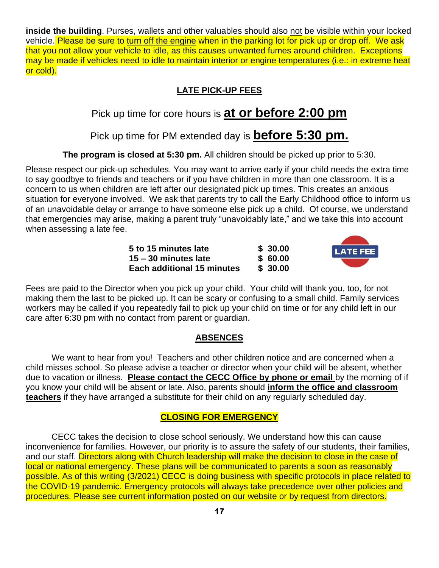**inside the building**. Purses, wallets and other valuables should also not be visible within your locked vehicle. Please be sure to turn off the engine when in the parking lot for pick up or drop off. We ask that you not allow your vehicle to idle, as this causes unwanted fumes around children. Exceptions may be made if vehicles need to idle to maintain interior or engine temperatures (i.e.: in extreme heat or cold).

# **LATE PICK-UP FEES**

# Pick up time for core hours is **at or before 2:00 pm**

# Pick up time for PM extended day is **before 5:30 pm.**

# **The program is closed at 5:30 pm.** All children should be picked up prior to 5:30.

Please respect our pick-up schedules. You may want to arrive early if your child needs the extra time to say goodbye to friends and teachers or if you have children in more than one classroom. It is a concern to us when children are left after our designated pick up times. This creates an anxious situation for everyone involved. We ask that parents try to call the Early Childhood office to inform us of an unavoidable delay or arrange to have someone else pick up a child. Of course, we understand that emergencies may arise, making a parent truly "unavoidably late," and we take this into account when assessing a late fee.

> **5 to 15 minutes late \$ 30.00 15 – 30 minutes late \$ 60.00 Each additional 15 minutes \$ 30.00**



Fees are paid to the Director when you pick up your child. Your child will thank you, too, for not making them the last to be picked up. It can be scary or confusing to a small child. Family services workers may be called if you repeatedly fail to pick up your child on time or for any child left in our care after 6:30 pm with no contact from parent or guardian.

#### **ABSENCES**

We want to hear from you! Teachers and other children notice and are concerned when a child misses school. So please advise a teacher or director when your child will be absent, whether due to vacation or illness. **Please contact the CECC Office by phone or email** by the morning of if you know your child will be absent or late. Also, parents should **inform the office and classroom teachers** if they have arranged a substitute for their child on any regularly scheduled day.

#### **CLOSING FOR EMERGENCY**

CECC takes the decision to close school seriously. We understand how this can cause inconvenience for families. However, our priority is to assure the safety of our students, their families, and our staff. Directors along with Church leadership will make the decision to close in the case of local or national emergency. These plans will be communicated to parents a soon as reasonably possible. As of this writing (3/2021) CECC is doing business with specific protocols in place related to the COVID-19 pandemic. Emergency protocols will always take precedence over other policies and procedures. Please see current information posted on our website or by request from directors.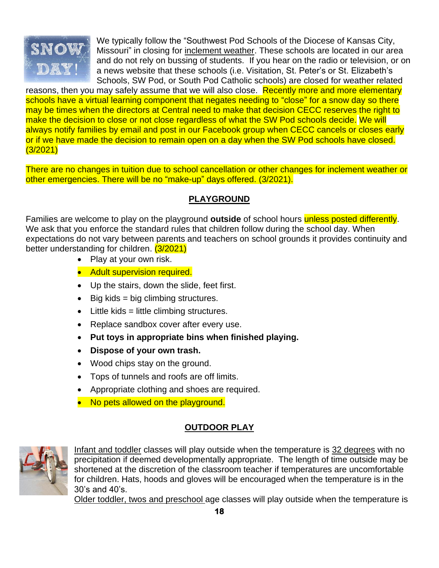

We typically follow the "Southwest Pod Schools of the Diocese of Kansas City, Missouri" in closing for inclement weather. These schools are located in our area and do not rely on bussing of students. If you hear on the radio or television, or on a news website that these schools (i.e. Visitation, St. Peter's or St. Elizabeth's Schools, SW Pod, or South Pod Catholic schools) are closed for weather related

reasons, then you may safely assume that we will also close. Recently more and more elementary schools have a virtual learning component that negates needing to "close" for a snow day so there may be times when the directors at Central need to make that decision CECC reserves the right to make the decision to close or not close regardless of what the SW Pod schools decide. We will always notify families by email and post in our Facebook group when CECC cancels or closes early or if we have made the decision to remain open on a day when the SW Pod schools have closed. (3/2021)

There are no changes in tuition due to school cancellation or other changes for inclement weather or other emergencies. There will be no "make-up" days offered. (3/2021).

# **PLAYGROUND**

Families are welcome to play on the playground **outside** of school hours unless posted differently. We ask that you enforce the standard rules that children follow during the school day. When expectations do not vary between parents and teachers on school grounds it provides continuity and better understanding for children. (3/2021)

- Play at your own risk.
- Adult supervision required.
- Up the stairs, down the slide, feet first.
- $\bullet$  Big kids = big climbing structures.
- Little kids = little climbing structures.
- Replace sandbox cover after every use.
- **Put toys in appropriate bins when finished playing.**
- **Dispose of your own trash.**
- Wood chips stay on the ground.
- Tops of tunnels and roofs are off limits.
- Appropriate clothing and shoes are required.
- No pets allowed on the playground.

# **OUTDOOR PLAY**



Infant and toddler classes will play outside when the temperature is 32 degrees with no precipitation if deemed developmentally appropriate. The length of time outside may be shortened at the discretion of the classroom teacher if temperatures are uncomfortable for children. Hats, hoods and gloves will be encouraged when the temperature is in the 30's and 40's.

Older toddler, twos and preschool age classes will play outside when the temperature is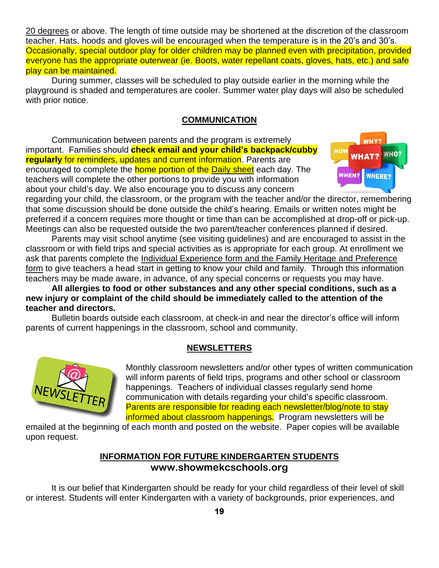20 degrees or above. The length of time outside may be shortened at the discretion of the classroom teacher. Hats, hoods and gloves will be encouraged when the temperature is in the 20's and 30's. Occasionally, special outdoor play for older children may be planned even with precipitation, provided everyone has the appropriate outerwear (ie. Boots, water repellant coats, gloves, hats, etc.) and safe play can be maintained.

During summer, classes will be scheduled to play outside earlier in the morning while the playground is shaded and temperatures are cooler. Summer water play days will also be scheduled with prior notice.

#### **COMMUNICATION**

Communication between parents and the program is extremely important. Families should **check email and your child's backpack/cubby regularly** for reminders, updates and current information. Parents are encouraged to complete the **home portion of the Daily sheet** each day. The teachers will complete the other portions to provide you with information about your child's day. We also encourage you to discuss any concern



regarding your child, the classroom, or the program with the teacher and/or the director, remembering that some discussion should be done outside the child's hearing. Emails or written notes might be preferred if a concern requires more thought or time than can be accomplished at drop-off or pick-up. Meetings can also be requested outside the two parent/teacher conferences planned if desired.

Parents may visit school anytime (see visiting guidelines) and are encouraged to assist in the classroom or with field trips and special activities as is appropriate for each group. At enrollment we ask that parents complete the Individual Experience form and the Family Heritage and Preference form to give teachers a head start in getting to know your child and family. Through this information teachers may be made aware, in advance, of any special concerns or requests you may have.

**All allergies to food or other substances and any other special conditions, such as a new injury or complaint of the child should be immediately called to the attention of the teacher and directors.**

Bulletin boards outside each classroom, at check-in and near the director's office will inform parents of current happenings in the classroom, school and community.

#### **NEWSLETTERS**



Monthly classroom newsletters and/or other types of written communication will inform parents of field trips, programs and other school or classroom happenings. Teachers of individual classes regularly send home communication with details regarding your child's specific classroom. Parents are responsible for reading each newsletter/blog/note to stay informed about classroom happenings. Program newsletters will be

emailed at the beginning of each month and posted on the website. Paper copies will be available upon request.

# **INFORMATION FOR FUTURE KINDERGARTEN STUDENTS www.showmekcschools.org**

It is our belief that Kindergarten should be ready for your child regardless of their level of skill or interest. Students will enter Kindergarten with a variety of backgrounds, prior experiences, and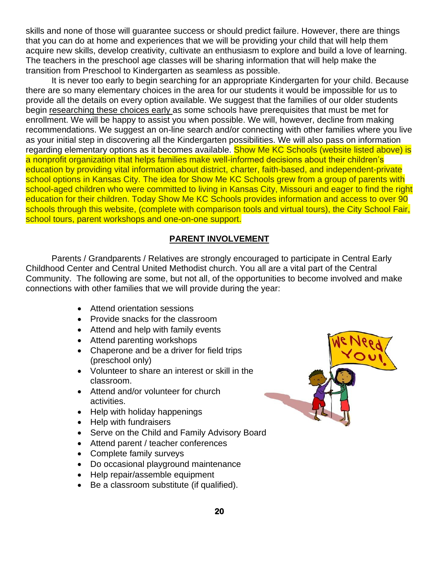skills and none of those will guarantee success or should predict failure. However, there are things that you can do at home and experiences that we will be providing your child that will help them acquire new skills, develop creativity, cultivate an enthusiasm to explore and build a love of learning. The teachers in the preschool age classes will be sharing information that will help make the transition from Preschool to Kindergarten as seamless as possible.

It is never too early to begin searching for an appropriate Kindergarten for your child. Because there are so many elementary choices in the area for our students it would be impossible for us to provide all the details on every option available. We suggest that the families of our older students begin researching these choices early as some schools have prerequisites that must be met for enrollment. We will be happy to assist you when possible. We will, however, decline from making recommendations. We suggest an on-line search and/or connecting with other families where you live as your initial step in discovering all the Kindergarten possibilities. We will also pass on information regarding elementary options as it becomes available. Show Me KC Schools (website listed above) is a nonprofit organization that helps families make well-informed decisions about their children's education by providing vital information about district, charter, faith-based, and independent-private school options in Kansas City. The idea for Show Me KC Schools grew from a group of parents with school-aged children who were committed to living in Kansas City, Missouri and eager to find the right education for their children. Today Show Me KC Schools provides information and access to over 90 schools through this website, (complete with comparison tools and virtual tours), the City School Fair, school tours, parent workshops and one-on-one support.

#### **PARENT INVOLVEMENT**

Parents / Grandparents / Relatives are strongly encouraged to participate in Central Early Childhood Center and Central United Methodist church. You all are a vital part of the Central Community. The following are some, but not all, of the opportunities to become involved and make connections with other families that we will provide during the year:

- Attend orientation sessions
- Provide snacks for the classroom
- Attend and help with family events
- Attend parenting workshops
- Chaperone and be a driver for field trips (preschool only)
- Volunteer to share an interest or skill in the classroom.
- Attend and/or volunteer for church activities.
- Help with holiday happenings
- Help with fundraisers
- Serve on the Child and Family Advisory Board
- Attend parent / teacher conferences
- Complete family surveys
- Do occasional playground maintenance
- Help repair/assemble equipment
- Be a classroom substitute (if qualified).

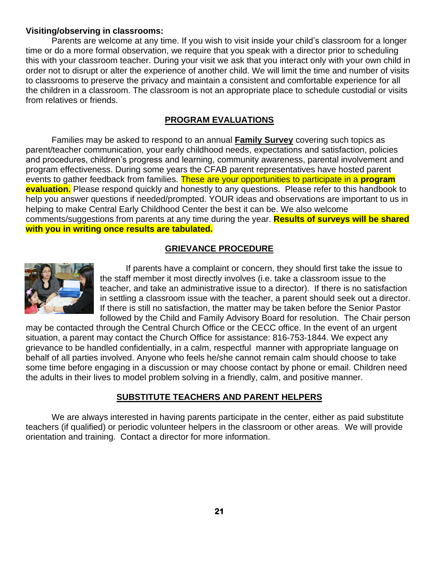#### **Visiting/observing in classrooms:**

Parents are welcome at any time. If you wish to visit inside your child's classroom for a longer time or do a more formal observation, we require that you speak with a director prior to scheduling this with your classroom teacher. During your visit we ask that you interact only with your own child in order not to disrupt or alter the experience of another child. We will limit the time and number of visits to classrooms to preserve the privacy and maintain a consistent and comfortable experience for all the children in a classroom. The classroom is not an appropriate place to schedule custodial or visits from relatives or friends.

#### **PROGRAM EVALUATIONS**

Families may be asked to respond to an annual **Family Survey** covering such topics as parent/teacher communication, your early childhood needs, expectations and satisfaction, policies and procedures, children's progress and learning, community awareness, parental involvement and program effectiveness. During some years the CFAB parent representatives have hosted parent events to gather feedback from families. These are your opportunities to participate in a **program evaluation.** Please respond quickly and honestly to any questions. Please refer to this handbook to help you answer questions if needed/prompted. YOUR ideas and observations are important to us in helping to make Central Early Childhood Center the best it can be. We also welcome comments/suggestions from parents at any time during the year. **Results of surveys will be shared with you in writing once results are tabulated.**

# **GRIEVANCE PROCEDURE**



If parents have a complaint or concern, they should first take the issue to the staff member it most directly involves (i.e. take a classroom issue to the teacher, and take an administrative issue to a director). If there is no satisfaction in settling a classroom issue with the teacher, a parent should seek out a director. If there is still no satisfaction, the matter may be taken before the Senior Pastor followed by the Child and Family Advisory Board for resolution. The Chair person

may be contacted through the Central Church Office or the CECC office. In the event of an urgent situation, a parent may contact the Church Office for assistance: 816-753-1844. We expect any grievance to be handled confidentially, in a calm, respectful manner with appropriate language on behalf of all parties involved. Anyone who feels he/she cannot remain calm should choose to take some time before engaging in a discussion or may choose contact by phone or email. Children need the adults in their lives to model problem solving in a friendly, calm, and positive manner.

#### **SUBSTITUTE TEACHERS AND PARENT HELPERS**

We are always interested in having parents participate in the center, either as paid substitute teachers (if qualified) or periodic volunteer helpers in the classroom or other areas. We will provide orientation and training. Contact a director for more information.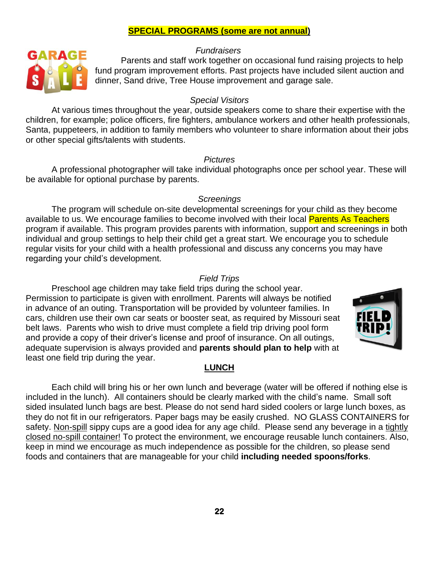#### **SPECIAL PROGRAMS (some are not annual)**

#### *Fundraisers*



Parents and staff work together on occasional fund raising projects to help fund program improvement efforts. Past projects have included silent auction and dinner, Sand drive, Tree House improvement and garage sale.

#### *Special Visitors*

At various times throughout the year, outside speakers come to share their expertise with the children, for example; police officers, fire fighters, ambulance workers and other health professionals, Santa, puppeteers, in addition to family members who volunteer to share information about their jobs or other special gifts/talents with students.

#### *Pictures*

A professional photographer will take individual photographs once per school year. These will be available for optional purchase by parents.

#### *Screenings*

The program will schedule on-site developmental screenings for your child as they become available to us. We encourage families to become involved with their local Parents As Teachers program if available. This program provides parents with information, support and screenings in both individual and group settings to help their child get a great start. We encourage you to schedule regular visits for your child with a health professional and discuss any concerns you may have regarding your child's development.

#### *Field Trips*

Preschool age children may take field trips during the school year. Permission to participate is given with enrollment. Parents will always be notified in advance of an outing. Transportation will be provided by volunteer families. In cars, children use their own car seats or booster seat, as required by Missouri seat belt laws. Parents who wish to drive must complete a field trip driving pool form and provide a copy of their driver's license and proof of insurance. On all outings, adequate supervision is always provided and **parents should plan to help** with at least one field trip during the year.



#### **LUNCH**

Each child will bring his or her own lunch and beverage (water will be offered if nothing else is included in the lunch). All containers should be clearly marked with the child's name. Small soft sided insulated lunch bags are best. Please do not send hard sided coolers or large lunch boxes, as they do not fit in our refrigerators. Paper bags may be easily crushed. NO GLASS CONTAINERS for safety. Non-spill sippy cups are a good idea for any age child. Please send any beverage in a tightly closed no-spill container! To protect the environment, we encourage reusable lunch containers. Also, keep in mind we encourage as much independence as possible for the children, so please send foods and containers that are manageable for your child **including needed spoons/forks**.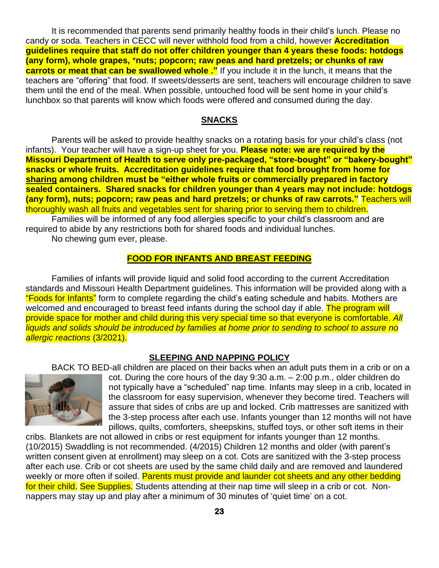It is recommended that parents send primarily healthy foods in their child's lunch. Please no candy or soda. Teachers in CECC will never withhold food from a child, however **Accreditation guidelines require that staff do not offer children younger than 4 years these foods: hotdogs (any form), whole grapes,** \***nuts; popcorn; raw peas and hard pretzels; or chunks of raw carrots or meat that can be swallowed whole ."** If you include it in the lunch, it means that the teachers are "offering" that food. If sweets/desserts are sent, teachers will encourage children to save them until the end of the meal. When possible, untouched food will be sent home in your child's lunchbox so that parents will know which foods were offered and consumed during the day.

#### **SNACKS**

Parents will be asked to provide healthy snacks on a rotating basis for your child's class (not infants). Your teacher will have a sign-up sheet for you. **Please note: we are required by the Missouri Department of Health to serve only pre-packaged, "store-bought" or "bakery-bought" snacks or whole fruits. Accreditation guidelines require that food brought from home for sharing among children must be "either whole fruits or commercially prepared in factory sealed containers. Shared snacks for children younger than 4 years may not include: hotdogs (any form), nuts; popcorn; raw peas and hard pretzels; or chunks of raw carrots."** Teachers will thoroughly wash all fruits and vegetables sent for sharing prior to serving them to children.

Families will be informed of any food allergies specific to your child's classroom and are required to abide by any restrictions both for shared foods and individual lunches.

No chewing gum ever, please.

#### **FOOD FOR INFANTS AND BREAST FEEDING**

Families of infants will provide liquid and solid food according to the current Accreditation standards and Missouri Health Department guidelines. This information will be provided along with a "Foods for Infants" form to complete regarding the child's eating schedule and habits. Mothers are welcomed and encouraged to breast feed infants during the school day if able. The program will provide space for mother and child during this very special time so that everyone is comfortable. *All liquids and solids should be introduced by families at home prior to sending to school to assure no allergic reactions* (3/2021).

#### **SLEEPING AND NAPPING POLICY**

BACK TO BED-all children are placed on their backs when an adult puts them in a crib or on a



cot. During the core hours of the day 9:30 a.m. – 2:00 p.m., older children do not typically have a "scheduled" nap time. Infants may sleep in a crib, located in the classroom for easy supervision, whenever they become tired. Teachers will assure that sides of cribs are up and locked. Crib mattresses are sanitized with the 3-step process after each use. Infants younger than 12 months will not have pillows, quilts, comforters, sheepskins, stuffed toys, or other soft items in their

cribs. Blankets are not allowed in cribs or rest equipment for infants younger than 12 months. (10/2015) Swaddling is not recommended. (4/2015) Children 12 months and older (with parent's written consent given at enrollment) may sleep on a cot. Cots are sanitized with the 3-step process after each use. Crib or cot sheets are used by the same child daily and are removed and laundered weekly or more often if soiled. Parents must provide and launder cot sheets and any other bedding for their child. See Supplies. Students attending at their nap time will sleep in a crib or cot. Nonnappers may stay up and play after a minimum of 30 minutes of 'quiet time' on a cot.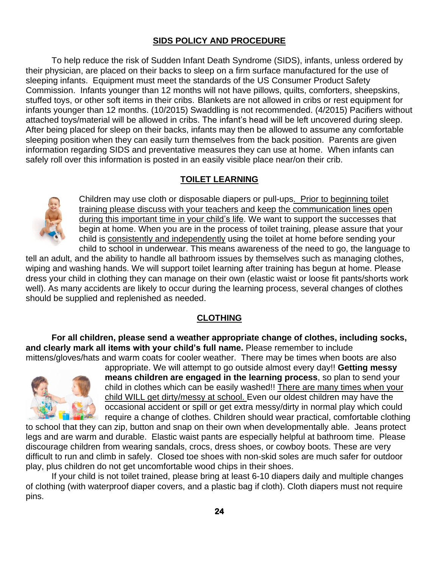# **SIDS POLICY AND PROCEDURE**

To help reduce the risk of Sudden Infant Death Syndrome (SIDS), infants, unless ordered by their physician, are placed on their backs to sleep on a firm surface manufactured for the use of sleeping infants. Equipment must meet the standards of the US Consumer Product Safety Commission. Infants younger than 12 months will not have pillows, quilts, comforters, sheepskins, stuffed toys, or other soft items in their cribs. Blankets are not allowed in cribs or rest equipment for infants younger than 12 months. (10/2015) Swaddling is not recommended. (4/2015) Pacifiers without attached toys/material will be allowed in cribs. The infant's head will be left uncovered during sleep. After being placed for sleep on their backs, infants may then be allowed to assume any comfortable sleeping position when they can easily turn themselves from the back position. Parents are given information regarding SIDS and preventative measures they can use at home. When infants can safely roll over this information is posted in an easily visible place near/on their crib.

# **TOILET LEARNING**



Children may use cloth or disposable diapers or pull-ups. Prior to beginning toilet training please discuss with your teachers and keep the communication lines open during this important time in your child's life. We want to support the successes that begin at home. When you are in the process of toilet training, please assure that your child is consistently and independently using the toilet at home before sending your child to school in underwear. This means awareness of the need to go, the language to

tell an adult, and the ability to handle all bathroom issues by themselves such as managing clothes, wiping and washing hands. We will support toilet learning after training has begun at home. Please dress your child in clothing they can manage on their own (elastic waist or loose fit pants/shorts work well). As many accidents are likely to occur during the learning process, several changes of clothes should be supplied and replenished as needed.

#### **CLOTHING**

**For all children, please send a weather appropriate change of clothes, including socks, and clearly mark all items with your child's full name.** Please remember to include mittens/gloves/hats and warm coats for cooler weather. There may be times when boots are also



appropriate. We will attempt to go outside almost every day!! **Getting messy means children are engaged in the learning process**, so plan to send your child in clothes which can be easily washed!! There are many times when your child WILL get dirty/messy at school. Even our oldest children may have the occasional accident or spill or get extra messy/dirty in normal play which could require a change of clothes. Children should wear practical, comfortable clothing

to school that they can zip, button and snap on their own when developmentally able. Jeans protect legs and are warm and durable. Elastic waist pants are especially helpful at bathroom time. Please discourage children from wearing sandals, crocs, dress shoes, or cowboy boots. These are very difficult to run and climb in safely. Closed toe shoes with non-skid soles are much safer for outdoor play, plus children do not get uncomfortable wood chips in their shoes.

If your child is not toilet trained, please bring at least 6-10 diapers daily and multiple changes of clothing (with waterproof diaper covers, and a plastic bag if cloth). Cloth diapers must not require pins.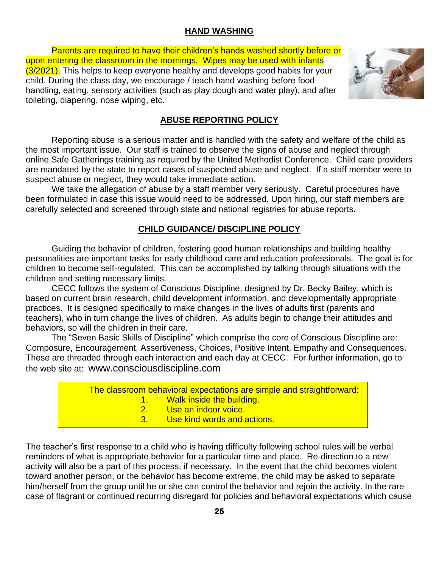# **HAND WASHING**

Parents are required to have their children's hands washed shortly before or upon entering the classroom in the mornings. Wipes may be used with infants (3/2021). This helps to keep everyone healthy and develops good habits for your child. During the class day, we encourage / teach hand washing before food handling, eating, sensory activities (such as play dough and water play), and after toileting, diapering, nose wiping, etc.



# **ABUSE REPORTING POLICY**

Reporting abuse is a serious matter and is handled with the safety and welfare of the child as the most important issue. Our staff is trained to observe the signs of abuse and neglect through online Safe Gatherings training as required by the United Methodist Conference. Child care providers are mandated by the state to report cases of suspected abuse and neglect. If a staff member were to suspect abuse or neglect, they would take immediate action.

We take the allegation of abuse by a staff member very seriously. Careful procedures have been formulated in case this issue would need to be addressed. Upon hiring, our staff members are carefully selected and screened through state and national registries for abuse reports.

# **CHILD GUIDANCE/ DISCIPLINE POLICY**

Guiding the behavior of children, fostering good human relationships and building healthy personalities are important tasks for early childhood care and education professionals. The goal is for children to become self-regulated. This can be accomplished by talking through situations with the children and setting necessary limits.

CECC follows the system of Conscious Discipline, designed by Dr. Becky Bailey, which is based on current brain research, child development information, and developmentally appropriate practices. It is designed specifically to make changes in the lives of adults first (parents and teachers), who in turn change the lives of children. As adults begin to change their attitudes and behaviors, so will the children in their care.

The "Seven Basic Skills of Discipline" which comprise the core of Conscious Discipline are: Composure, Encouragement, Assertiveness, Choices, Positive Intent, Empathy and Consequences. These are threaded through each interaction and each day at CECC. For further information, go to the web site at: [www.consciousdiscipline.com](http://www.consciousdiscipline.com/)

| The classroom behavioral expectations are simple and straightforward: |                                |  |
|-----------------------------------------------------------------------|--------------------------------|--|
|                                                                       | 1. Walk inside the building.   |  |
|                                                                       | 2. Use an indoor voice.        |  |
|                                                                       | 3. Use kind words and actions. |  |

The teacher's first response to a child who is having difficulty following school rules will be verbal reminders of what is appropriate behavior for a particular time and place. Re-direction to a new activity will also be a part of this process, if necessary. In the event that the child becomes violent toward another person, or the behavior has become extreme, the child may be asked to separate him/herself from the group until he or she can control the behavior and rejoin the activity. In the rare case of flagrant or continued recurring disregard for policies and behavioral expectations which cause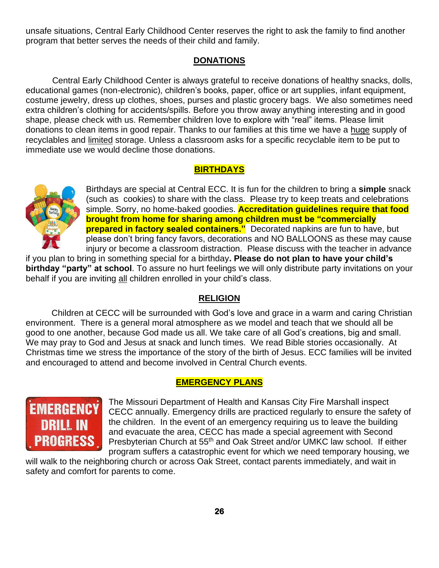unsafe situations, Central Early Childhood Center reserves the right to ask the family to find another program that better serves the needs of their child and family.

#### **DONATIONS**

 Central Early Childhood Center is always grateful to receive donations of healthy snacks, dolls, educational games (non-electronic), children's books, paper, office or art supplies, infant equipment, costume jewelry, dress up clothes, shoes, purses and plastic grocery bags. We also sometimes need extra children's clothing for accidents/spills. Before you throw away anything interesting and in good shape, please check with us. Remember children love to explore with "real" items. Please limit donations to clean items in good repair. Thanks to our families at this time we have a huge supply of recyclables and limited storage. Unless a classroom asks for a specific recyclable item to be put to immediate use we would decline those donations.

# **BIRTHDAYS**



Birthdays are special at Central ECC. It is fun for the children to bring a **simple** snack (such as cookies) to share with the class. Please try to keep treats and celebrations simple. Sorry, no home-baked goodies. **Accreditation guidelines require that food brought from home for sharing among children must be "commercially prepared in factory sealed containers."** Decorated napkins are fun to have, but please don't bring fancy favors, decorations and NO BALLOONS as these may cause injury or become a classroom distraction. Please discuss with the teacher in advance

if you plan to bring in something special for a birthday**. Please do not plan to have your child's birthday "party" at school**. To assure no hurt feelings we will only distribute party invitations on your behalf if you are inviting all children enrolled in your child's class.

#### **RELIGION**

Children at CECC will be surrounded with God's love and grace in a warm and caring Christian environment. There is a general moral atmosphere as we model and teach that we should all be good to one another, because God made us all. We take care of all God's creations, big and small. We may pray to God and Jesus at snack and lunch times. We read Bible stories occasionally. At Christmas time we stress the importance of the story of the birth of Jesus. ECC families will be invited and encouraged to attend and become involved in Central Church events.

#### **EMERGENCY PLANS**



The Missouri Department of Health and Kansas City Fire Marshall inspect CECC annually. Emergency drills are practiced regularly to ensure the safety of the children. In the event of an emergency requiring us to leave the building and evacuate the area, CECC has made a special agreement with Second Presbyterian Church at 55<sup>th</sup> and Oak Street and/or UMKC law school. If either program suffers a catastrophic event for which we need temporary housing, we

will walk to the neighboring church or across Oak Street, contact parents immediately, and wait in safety and comfort for parents to come.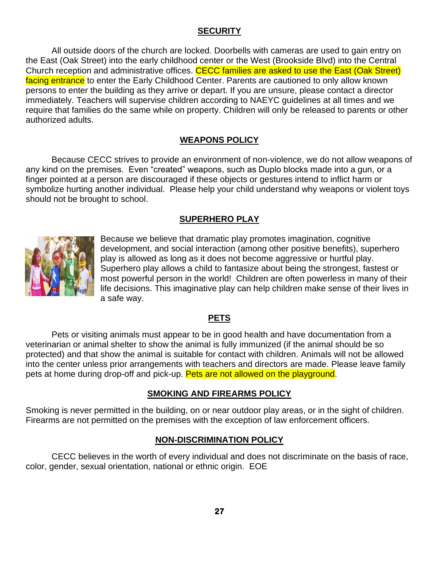# **SECURITY**

All outside doors of the church are locked. Doorbells with cameras are used to gain entry on the East (Oak Street) into the early childhood center or the West (Brookside Blvd) into the Central Church reception and administrative offices. CECC families are asked to use the East (Oak Street) facing entrance to enter the Early Childhood Center. Parents are cautioned to only allow known persons to enter the building as they arrive or depart. If you are unsure, please contact a director immediately. Teachers will supervise children according to NAEYC guidelines at all times and we require that families do the same while on property. Children will only be released to parents or other authorized adults.

# **WEAPONS POLICY**

Because CECC strives to provide an environment of non-violence, we do not allow weapons of any kind on the premises. Even "created" weapons, such as Duplo blocks made into a gun, or a finger pointed at a person are discouraged if these objects or gestures intend to inflict harm or symbolize hurting another individual. Please help your child understand why weapons or violent toys should not be brought to school.

# **SUPERHERO PLAY**



Because we believe that dramatic play promotes imagination, cognitive development, and social interaction (among other positive benefits), superhero play is allowed as long as it does not become aggressive or hurtful play. Superhero play allows a child to fantasize about being the strongest, fastest or most powerful person in the world! Children are often powerless in many of their life decisions. This imaginative play can help children make sense of their lives in a safe way.

#### **PETS**

Pets or visiting animals must appear to be in good health and have documentation from a veterinarian or animal shelter to show the animal is fully immunized (if the animal should be so protected) and that show the animal is suitable for contact with children. Animals will not be allowed into the center unless prior arrangements with teachers and directors are made. Please leave family pets at home during drop-off and pick-up. **Pets are not allowed on the playground**.

#### **SMOKING AND FIREARMS POLICY**

Smoking is never permitted in the building, on or near outdoor play areas, or in the sight of children. Firearms are not permitted on the premises with the exception of law enforcement officers.

#### **NON-DISCRIMINATION POLICY**

CECC believes in the worth of every individual and does not discriminate on the basis of race, color, gender, sexual orientation, national or ethnic origin. EOE